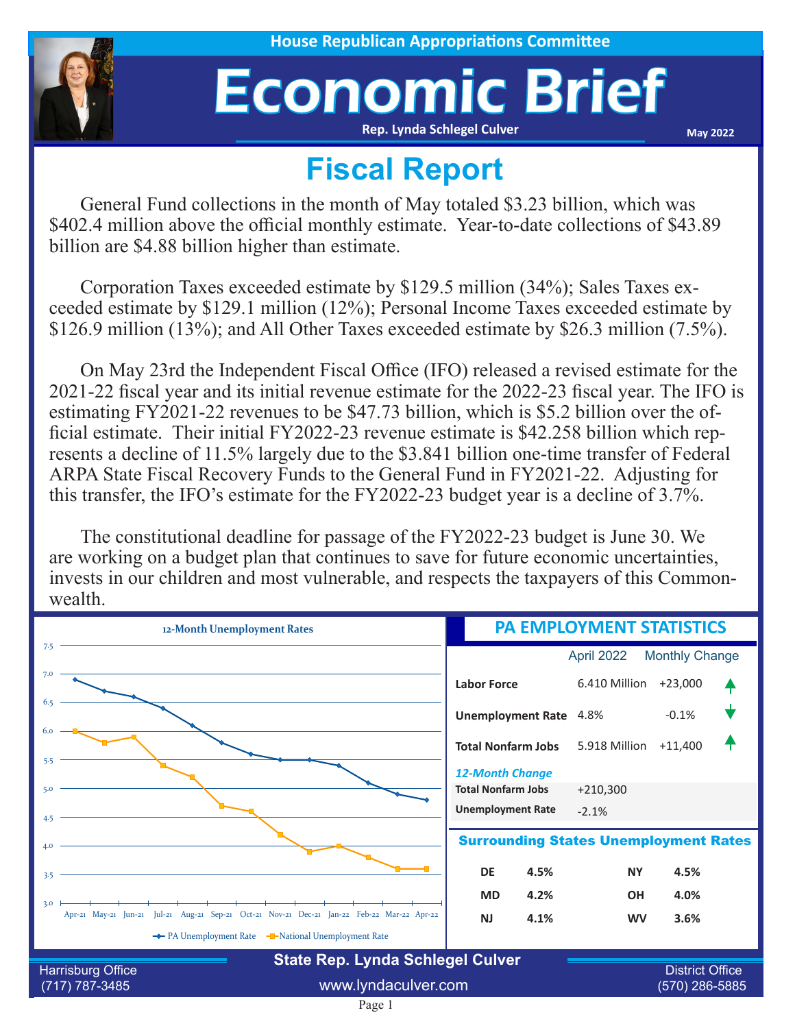

## Economic Brief **Rep. Lynda Schlegel Culver**

**May 2022**

## **Fiscal Report**

General Fund collections in the month of May totaled \$3.23 billion, which was \$402.4 million above the official monthly estimate. Year-to-date collections of \$43.89 billion are \$4.88 billion higher than estimate.

Corporation Taxes exceeded estimate by \$129.5 million (34%); Sales Taxes exceeded estimate by \$129.1 million (12%); Personal Income Taxes exceeded estimate by \$126.9 million (13%); and All Other Taxes exceeded estimate by \$26.3 million (7.5%).

On May 23rd the Independent Fiscal Office (IFO) released a revised estimate for the 2021-22 fiscal year and its initial revenue estimate for the 2022-23 fiscal year. The IFO is estimating FY2021-22 revenues to be \$47.73 billion, which is \$5.2 billion over the official estimate. Their initial FY2022-23 revenue estimate is \$42.258 billion which represents a decline of 11.5% largely due to the \$3.841 billion one-time transfer of Federal ARPA State Fiscal Recovery Funds to the General Fund in FY2021-22. Adjusting for this transfer, the IFO's estimate for the FY2022-23 budget year is a decline of 3.7%.

The constitutional deadline for passage of the FY2022-23 budget is June 30. We are working on a budget plan that continues to save for future economic uncertainties, invests in our children and most vulnerable, and respects the taxpayers of this Commonwealth.

| 12-Month Unemployment Rates                                                                       | <b>PA EMPLOYMENT STATISTICS</b>              |                       |                        |  |
|---------------------------------------------------------------------------------------------------|----------------------------------------------|-----------------------|------------------------|--|
| 7.5                                                                                               |                                              | April 2022            | <b>Monthly Change</b>  |  |
| 7.0                                                                                               | <b>Labor Force</b>                           | 6.410 Million         | $+23,000$              |  |
| 6.5                                                                                               | <b>Unemployment Rate</b>                     | 4.8%                  | $-0.1%$                |  |
| 6.0                                                                                               | <b>Total Nonfarm Jobs</b>                    | 5.918 Million +11,400 |                        |  |
| 5.5                                                                                               | <b>12-Month Change</b>                       |                       |                        |  |
| 5.0                                                                                               | <b>Total Nonfarm Jobs</b>                    | $+210,300$            |                        |  |
| 4.5                                                                                               | <b>Unemployment Rate</b>                     | $-2.1%$               |                        |  |
| 4.0                                                                                               | <b>Surrounding States Unemployment Rates</b> |                       |                        |  |
| 3.5                                                                                               | <b>DE</b><br>4.5%                            | <b>NY</b>             | 4.5%                   |  |
|                                                                                                   | <b>MD</b><br>4.2%                            | <b>OH</b>             | 4.0%                   |  |
| 3.0<br>Apr-21 May-21 Jun-21 Jul-21 Aug-21 Sep-21 Oct-21 Nov-21 Dec-21 Jan-22 Feb-22 Mar-22 Apr-22 | <b>NJ</b><br>4.1%                            | <b>WV</b>             | 3.6%                   |  |
| ← PA Unemployment Rate – National Unemployment Rate                                               |                                              |                       |                        |  |
| <b>State Rep. Lynda Schlegel Culver</b>                                                           |                                              |                       |                        |  |
| Harrisburg Office                                                                                 |                                              |                       | <b>District Office</b> |  |

Page 1